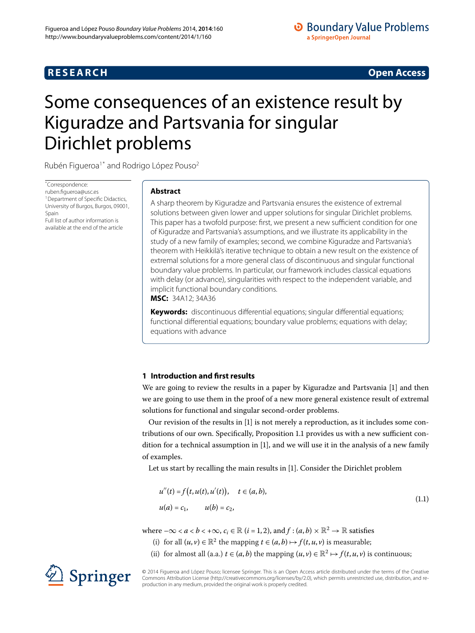## **RESEARCH CONSTRUCTER IN A RESEARCH CONSTRUCTER IN A RESEARCH**

# <span id="page-0-0"></span>Some consequences of an existence result by Kiguradze and Partsvania for singular Dirichlet problems

Rubén Figueroa<sup>[1](#page-12-0)[\\*](#page-0-0)</sup> and Rodrigo López Pouso<sup>2</sup>

\* Correspondence: [ruben.figueroa@usc.es](mailto:ruben.figueroa@usc.es) <sup>1</sup> Department of Specific Didactics, University of Burgos, Burgos, 09001, Spain Full list of author information is available at the end of the article

### **Abstract**

A sharp theorem by Kiguradze and Partsvania ensures the existence of extremal solutions between given lower and upper solutions for singular Dirichlet problems. This paper has a twofold purpose: first, we present a new sufficient condition for one of Kiguradze and Partsvania's assumptions, and we illustrate its applicability in the study of a new family of examples; second, we combine Kiguradze and Partsvania's theorem with Heikkilä's iterative technique to obtain a new result on the existence of extremal solutions for a more general class of discontinuous and singular functional boundary value problems. In particular, our framework includes classical equations with delay (or advance), singularities with respect to the independent variable, and implicit functional boundary conditions. **MSC:** 34A12; 34A36

**Keywords:** discontinuous differential equations; singular differential equations; functional differential equations; boundary value problems; equations with delay; equations with advance

#### **1 Introduction and first results**

We are going to review the results in a paper by Kiguradze and Partsvania [\[](#page-12-2)1] and then we are going to use them in the proof of a new more general existence result of extremal solutions for functional and singular second-order problems.

Our revision of the results in  $[1]$  $[1]$  is not merely a reproduction, as it includes some con-tributions of our own[.](#page-3-0) Specifically, Proposition 1.1 provides us with a new sufficient condition for a technical assumption in  $[1]$  $[1]$ , and we will use it in the analysis of a new family of examples.

Let us start by recalling the main results in [[\]](#page-12-2). Consider the Dirichlet problem

<span id="page-0-1"></span>
$$
u''(t) = f(t, u(t), u'(t)), \quad t \in (a, b),
$$
  

$$
u(a) = c_1, \qquad u(b) = c_2,
$$
 (1.1)

where  $-\infty < a < b < +\infty$ ,  $c_i \in \mathbb{R}$  (*i* = 1, 2), and  $f : (a, b) \times \mathbb{R}^2 \to \mathbb{R}$  satisfies

(i) for all  $(u, v) \in \mathbb{R}^2$  the mapping  $t \in (a, b) \mapsto f(t, u, v)$  is measurable;

(ii) for almost all (a.a.)  $t \in (a, b)$  the mapping  $(u, v) \in \mathbb{R}^2 \mapsto f(t, u, v)$  is continuous;

© 2014 Figueroa and López Pouso; licensee Springer. This is an Open Access article distributed under the terms of the Creative Commons Attribution License (http://creativecommons.org/licenses/by/2.0), which permits unrestricted use, distribution, and reproduction in any medium, provided the original work is properly credited.

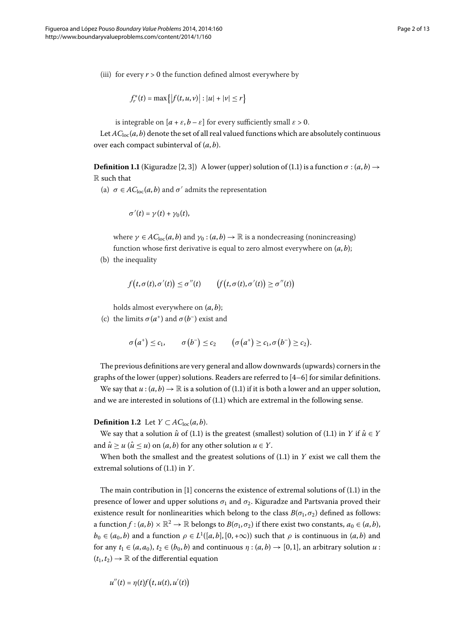(iii) for every  $r > 0$  the function defined almost everywhere by

<span id="page-1-0"></span>
$$
f_r^*(t) = \max \{ |f(t, u, v)| : |u| + |v| \le r \}
$$

is integrable on  $[a + \varepsilon, b - \varepsilon]$  for every sufficiently small  $\varepsilon > 0$ .

Let  $AC<sub>loc</sub>(a, b)$  denote the set of all real valued functions which are absolutely continuous over each compact subinterval of (*a*, *b*).

**Definition 1.1** (Kiguradze [2[,](#page-12-3) 3[\]](#page-12-4)) A lower (upper) solution of (1.1) is a function  $\sigma$  :  $(a, b) \rightarrow$ R such that

(a)  $\sigma \in AC_{\text{loc}}(a, b)$  and  $\sigma'$  admits the representation

$$
\sigma'(t) = \gamma(t) + \gamma_0(t),
$$

where  $\gamma \in AC_{\text{loc}}(a, b)$  and  $\gamma_0 : (a, b) \to \mathbb{R}$  is a nondecreasing (nonincreasing) function whose first derivative is equal to zero almost everywhere on (*a*, *b*);

(b) the inequality

$$
f(t, \sigma(t), \sigma'(t)) \leq \sigma''(t) \qquad \big(f\big(t, \sigma(t), \sigma'(t)\big) \geq \sigma''(t)\big)
$$

holds almost everywhere on (*a*, *b*);

(c) the limits  $\sigma(a^+)$  and  $\sigma(b^-)$  exist and

$$
\sigma\big(a^+\big)\leq c_1,\qquad \sigma\big(b^-\big)\leq c_2\qquad \big(\sigma\big(a^+\big)\geq c_1,\sigma\big(b^-\big)\geq c_2\big).
$$

The previous definitions are very general and allow downwards (upwards) corners in the graphs of the lower (upper) solutions. Readers are referred to  $[4-6]$  $[4-6]$  for similar definitions.

We say that  $u : (a, b) \to \mathbb{R}$  is a solution of (1.1) if it is both a lower and an upper solution, and we are interested in solutions of  $(1.1)$  $(1.1)$  $(1.1)$  which are extremal in the following sense.

#### **Definition 1.2** Let  $Y \subset AC_{loc}(a, b)$ .

We say that a solution  $\hat{u}$  of (1[.](#page-0-1)1) is the greatest (smallest) solution of (1.1) in *Y* if  $\hat{u} \in Y$ and  $\hat{u} \ge u$  ( $\hat{u} \le u$ ) on (*a*, *b*) for any other solution  $u \in Y$ .

When both the smallest and the greatest solutions of  $(1.1)$  $(1.1)$  $(1.1)$  in *Y* exist we call them the extremal solutions of  $(1.1)$  in *Y*.

The main contribution in  $[1]$  concerns the existence of extremal solutions of  $(1.1)$  in the presence of lower and upper solutions  $\sigma_1$  and  $\sigma_2$ . Kiguradze and Partsvania proved their existence result for nonlinearities which belong to the class  $B(\sigma_1, \sigma_2)$  defined as follows: a function  $f : (a, b) \times \mathbb{R}^2 \to \mathbb{R}$  belongs to  $B(\sigma_1, \sigma_2)$  if there exist two constants,  $a_0 \in (a, b)$ ,  $b_0 \in (a_0, b)$  and a function  $\rho \in L^1([a, b], [0, +\infty))$  such that  $\rho$  is continuous in  $(a, b)$  and for any  $t_1 \in (a, a_0)$ ,  $t_2 \in (b_0, b)$  and continuous  $\eta : (a, b) \rightarrow [0, 1]$ , an arbitrary solution  $u$ :  $(t_1, t_2) \rightarrow \mathbb{R}$  of the differential equation

$$
u''(t) = \eta(t) f(t, u(t), u'(t))
$$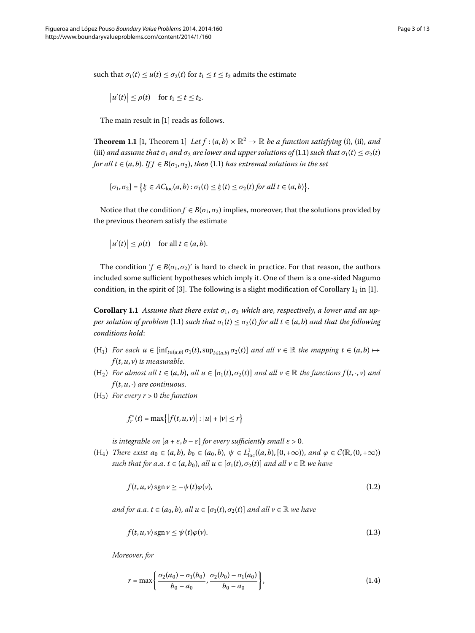such that  $\sigma_1(t) \le u(t) \le \sigma_2(t)$  for  $t_1 \le t \le t_2$  admits the estimate

<span id="page-2-0"></span>
$$
|u'(t)| \le \rho(t) \quad \text{for } t_1 \le t \le t_2.
$$

The main result in [1] reads as follows.

**Theorem 1.1** [1[,](#page-12-2) Theorem 1] *Let*  $f$  :  $(a, b) \times \mathbb{R}^2 \to \mathbb{R}$  *be a function satisfying* (i), (ii), *and* (iii) and assume that  $\sigma_1$  and  $\sigma_2$  are lower and upper solutions of (1[.](#page-0-1)1) such that  $\sigma_1(t) \leq \sigma_2(t)$ *for all t*  $\in$  (*a*, *b*)[.](#page-0-1) *If f*  $\in$  *B*( $\sigma$ <sub>1</sub>, $\sigma$ <sub>2</sub>), *then* (1.1) *has extremal solutions in the set* 

$$
[\sigma_1,\sigma_2]=\big\{\xi\in AC_{\text{loc}}(a,b):\sigma_1(t)\leq \xi(t)\leq \sigma_2(t)\text{ for all }t\in(a,b)\big\}.
$$

Notice that the condition  $f \in B(\sigma_1, \sigma_2)$  implies, moreover, that the solutions provided by the previous theorem satisfy the estimate

<span id="page-2-1"></span>
$$
|u'(t)| \le \rho(t) \quad \text{for all } t \in (a, b).
$$

The condition '*f*  $\in B(\sigma_1, \sigma_2)$ ' is hard to check in practice. For that reason, the authors included some sufficient hypotheses which imply it. One of them is a one-sided Nagumo condition, in the spirit of [\[](#page-12-4)3[\]](#page-12-2). The following is a slight modification of Corollary  $1<sub>1</sub>$  in [1].

**Corollary 1.1** Assume that there exist  $\sigma_1$ ,  $\sigma_2$  which are, respectively, a lower and an up*per solution of problem* (1[.](#page-0-1)1) *such that*  $\sigma_1(t) \leq \sigma_2(t)$  *for all*  $t \in (a, b)$  *and that the following conditions hold*:

- $(H_1)$  *For each*  $u \in [\inf_{t \in (a,b)} \sigma_1(t), \sup_{t \in (a,b)} \sigma_2(t)]$  *and all*  $v \in \mathbb{R}$  *the mapping*  $t \in (a,b) \mapsto$ *f* (*t*,*u*, *v*) *is measurable*.
- $(H_2)$  *For almost all*  $t \in (a, b)$ , *all*  $u \in [\sigma_1(t), \sigma_2(t)]$  *and all*  $v \in \mathbb{R}$  *the functions*  $f(t, \cdot, v)$  *and*  $f(t, u, \cdot)$  *are continuous.*
- $(H_3)$  *For every*  $r > 0$  *the function*

<span id="page-2-3"></span>
$$
f_r^*(t) = \max\{|f(t, u, v)| : |u| + |v| \le r\}
$$

*is integrable on*  $[a + \varepsilon, b - \varepsilon]$  *for every sufficiently small*  $\varepsilon > 0$ .

 $(H_4)$  *There exist*  $a_0 \in (a, b)$ ,  $b_0 \in (a_0, b)$ ,  $\psi \in L^1_{loc}((a, b), [0, +\infty))$ , and  $\varphi \in C(\mathbb{R}, (0, +\infty))$ *such that for a.a.*  $t \in (a, b_0)$ , *all*  $u \in [\sigma_1(t), \sigma_2(t)]$  *and all*  $v \in \mathbb{R}$  *we have* 

<span id="page-2-4"></span>
$$
f(t, u, v) \operatorname{sgn} v \ge -\psi(t)\varphi(v),\tag{1.2}
$$

*and for a.a.*  $t \in (a_0, b)$ , *all*  $u \in [\sigma_1(t), \sigma_2(t)]$  *and all*  $v \in \mathbb{R}$  *we have* 

<span id="page-2-2"></span>
$$
f(t, u, v) \operatorname{sgn} v \le \psi(t)\varphi(v). \tag{1.3}
$$

*Moreover*, *for*

$$
r = \max\left\{\frac{\sigma_2(a_0) - \sigma_1(b_0)}{b_0 - a_0}, \frac{\sigma_2(b_0) - \sigma_1(a_0)}{b_0 - a_0}\right\},\tag{1.4}
$$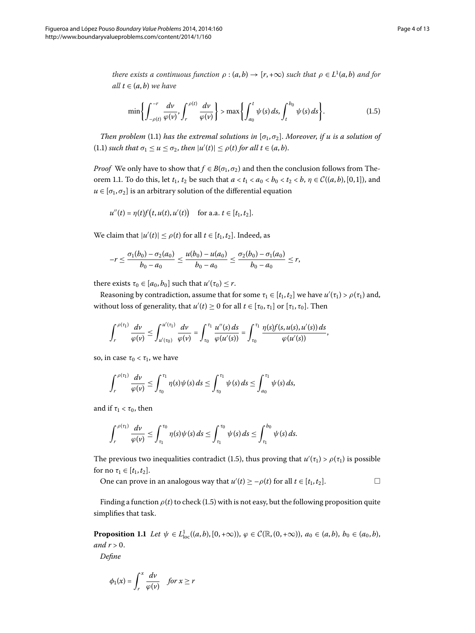*there exists a continuous function*  $\rho$  :  $(a,b) \rightarrow [r,+\infty)$  *such that*  $\rho \in L^1(a,b)$  *and for all*  $t \in (a, b)$  *we have* 

<span id="page-3-1"></span>
$$
\min\left\{\int_{-\rho(t)}^{-r}\frac{dv}{\varphi(v)},\int_{r}^{\rho(t)}\frac{dv}{\varphi(v)}\right\} > \max\left\{\int_{a_0}^{t}\psi(s)\,ds,\int_{t}^{b_0}\psi(s)\,ds\right\}.\tag{1.5}
$$

*Then problem* (1[.](#page-0-1)1) *has the extremal solutions in*  $[\sigma_1, \sigma_2]$ *. Moreover, if u is a solution of*  $(1.1)$  $(1.1)$  $(1.1)$  such that  $\sigma_1 \leq u \leq \sigma_2$ , then  $|u'(t)| \leq \rho(t)$  for all  $t \in (a, b)$ .

*Proof* We only have to show that  $f \in B(\sigma_1, \sigma_2)$  and then the conclusion follows from The-orem 1[.](#page-2-0)1. To do this, let  $t_1$ ,  $t_2$  be such that  $a < t_1 < a_0 < b_0 < t_2 < b$ ,  $\eta \in \mathcal{C}((a, b), [0, 1])$ , and  $u \in [\sigma_1, \sigma_2]$  is an arbitrary solution of the differential equation

$$
u''(t) = \eta(t)f(t, u(t), u'(t))
$$
 for a.a.  $t \in [t_1, t_2]$ .

We claim that  $|u'(t)| \le \rho(t)$  for all  $t \in [t_1, t_2]$ . Indeed, as

$$
-r\leq \frac{\sigma_1(b_0)-\sigma_2(a_0)}{b_0-a_0}\leq \frac{u(b_0)-u(a_0)}{b_0-a_0}\leq \frac{\sigma_2(b_0)-\sigma_1(a_0)}{b_0-a_0}\leq r,
$$

there exists  $\tau_0 \in [a_0, b_0]$  such that  $u'(\tau_0) \leq r$ .

Reasoning by contradiction, assume that for some  $\tau_1 \in [t_1, t_2]$  we have  $u'(\tau_1) > \rho(\tau_1)$  and, without loss of generality, that  $u'(t) \ge 0$  for all  $t \in [\tau_0, \tau_1]$  or  $[\tau_1, \tau_0]$ . Then

$$
\int_r^{\rho(\tau_1)} \frac{dv}{\varphi(v)} \leq \int_{u'(\tau_0)}^{u'(\tau_1)} \frac{dv}{\varphi(v)} = \int_{\tau_0}^{\tau_1} \frac{u''(s) ds}{\varphi(u'(s))} = \int_{\tau_0}^{\tau_1} \frac{\eta(s) f(s, u(s), u'(s)) ds}{\varphi(u'(s))},
$$

so, in case  $\tau_0 < \tau_1$ , we have

$$
\int_{r}^{\rho(\tau_1)} \frac{d\nu}{\varphi(\nu)} \leq \int_{\tau_0}^{\tau_1} \eta(s) \psi(s) \, ds \leq \int_{\tau_0}^{\tau_1} \psi(s) \, ds \leq \int_{a_0}^{\tau_1} \psi(s) \, ds,
$$

and if  $\tau_1 < \tau_0$ , then

$$
\int_r^{\rho(\tau_1)} \frac{dv}{\varphi(v)} \leq \int_{\tau_1}^{\tau_0} \eta(s) \psi(s) \, ds \leq \int_{\tau_1}^{\tau_0} \psi(s) \, ds \leq \int_{\tau_1}^{b_0} \psi(s) \, ds.
$$

<span id="page-3-0"></span>The previous two inequalities contradict (1[.](#page-3-1)5), thus proving that  $u'(\tau_1) > \rho(\tau_1)$  is possible for no  $\tau_1 \in [t_1, t_2]$ .

One can prove in an analogous way that  $u'(t) \ge -\rho(t)$  for all  $t \in [t_1, t_2]$ .  $\Box$ 

Finding a function  $\rho(t)$  to check (1.5) with is not easy, but the following proposition quite simplifies that task.

**Proposition 1.1** Let  $\psi \in L^1_{loc}((a, b), [0, +\infty))$ ,  $\varphi \in C(\mathbb{R}, (0, +\infty))$ ,  $a_0 \in (a, b), b_0 \in (a_0, b)$ , *and*  $r > 0$ .

*Define*

$$
\phi_1(x) = \int_r^x \frac{dv}{\varphi(v)} \quad \text{for } x \ge r
$$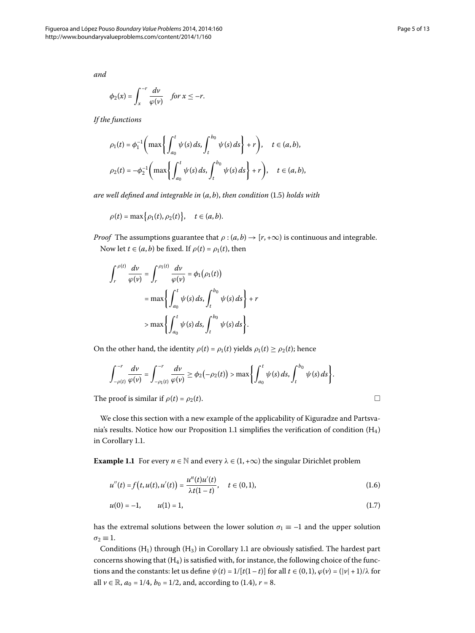*and*

$$
\phi_2(x) = \int_x^{-r} \frac{dv}{\varphi(v)} \quad \text{for } x \leq -r.
$$

*If the functions*

$$
\rho_1(t) = \phi_1^{-1} \left( \max \left\{ \int_{a_0}^t \psi(s) \, ds, \int_t^{b_0} \psi(s) \, ds \right\} + r \right), \quad t \in (a, b),
$$
  

$$
\rho_2(t) = -\phi_2^{-1} \left( \max \left\{ \int_{a_0}^t \psi(s) \, ds, \int_t^{b_0} \psi(s) \, ds \right\} + r \right), \quad t \in (a, b),
$$

*are well defined and integrable in*  $(a, b)$ , *then condition* (1.5) *holds with* 

$$
\rho(t) = \max\big\{\rho_1(t), \rho_2(t)\big\}, \quad t \in (a, b).
$$

*Proof* The assumptions guarantee that  $\rho$  :  $(a, b) \rightarrow [r, +\infty)$  is continuous and integrable. Now let *t*  $\in$  (*a*, *b*) be fixed. If  $\rho$ (*t*) =  $\rho$ <sub>1</sub>(*t*), then

$$
\int_{r}^{\rho(t)} \frac{dv}{\varphi(v)} = \int_{r}^{\rho_1(t)} \frac{dv}{\varphi(v)} = \phi_1(\rho_1(t))
$$
  
=  $\max \left\{ \int_{a_0}^{t} \psi(s) ds, \int_{t}^{b_0} \psi(s) ds \right\} + r$   
>  $\max \left\{ \int_{a_0}^{t} \psi(s) ds, \int_{t}^{b_0} \psi(s) ds \right\}.$ 

On the other hand, the identity  $\rho(t) = \rho_1(t)$  yields  $\rho_1(t) \ge \rho_2(t)$ ; hence

$$
\int_{-\rho(t)}^{-r} \frac{dv}{\varphi(v)} = \int_{-\rho_1(t)}^{-r} \frac{dv}{\varphi(v)} \ge \phi_2(-\rho_2(t)) > \max \bigg\{ \int_{a_0}^{t} \psi(s) \, ds, \int_{t}^{b_0} \psi(s) \, ds \bigg\}.
$$

<span id="page-4-0"></span>The proof is similar if  $\rho(t) = \rho_2(t)$ .

We close this section with a new example of the applicability of Kiguradze and Partsva-  
nia's results. Notice how our Proposition 1.1 simplifies the verification of condition 
$$
(H_4)
$$
  
in Corollary 1.1.

**Example 1.1** For every  $n \in \mathbb{N}$  and every  $\lambda \in (1, +\infty)$  the singular Dirichlet problem

$$
u''(t) = f(t, u(t), u'(t)) = \frac{u^n(t)u'(t)}{\lambda t(1-t)}, \quad t \in (0,1),
$$
\n(1.6)

$$
u(0) = -1, \qquad u(1) = 1,\tag{1.7}
$$

has the extremal solutions between the lower solution  $\sigma_1 \equiv -1$  and the upper solution  $\sigma_2 \equiv 1$ .

Conditions  $(H_1)$  through  $(H_3)$  in Corollary 1[.](#page-2-1)1 are obviously satisfied. The hardest part concerns showing that  $(H_4)$  is satisfied with, for instance, the following choice of the functions and the constants: let us define  $\psi(t) = 1/[t(1-t)]$  for all  $t \in (0,1)$ ,  $\varphi(v) = (|v| + 1)/\lambda$  for all  $v \in \mathbb{R}$ ,  $a_0 = 1/4$ ,  $b_0 = 1/2$ , and, according to (1.4),  $r = 8$ .

 $\Box$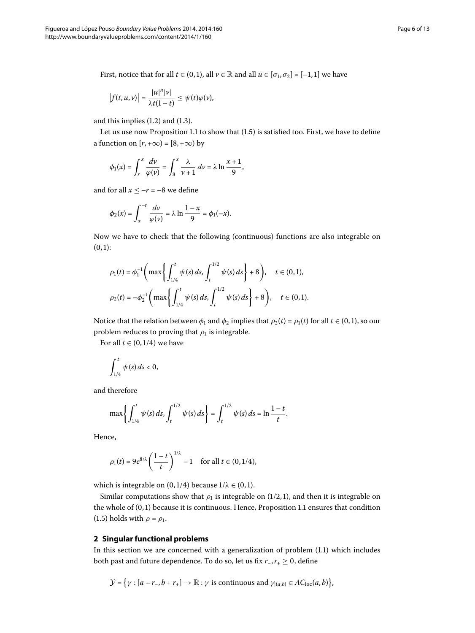First, notice that for all  $t \in (0,1)$ , all  $v \in \mathbb{R}$  and all  $u \in [\sigma_1, \sigma_2] = [-1,1]$  we have

$$
\left|f(t,u,v)\right|=\frac{|u|^n|v|}{\lambda t(1-t)}\leq \psi(t)\varphi(v),
$$

and this implies  $(1.2)$  $(1.2)$  $(1.2)$  and  $(1.3)$ .

Let us use now Proposition 1[.](#page-3-1)1 to show that  $(1.5)$  is satisfied too. First, we have to define a function on  $[r, +\infty) = [8, +\infty)$  by

$$
\phi_1(x) = \int_r^x \frac{dv}{\varphi(v)} = \int_8^x \frac{\lambda}{v+1} dv = \lambda \ln \frac{x+1}{9},
$$

and for all  $x \leq -r = -8$  we define

$$
\phi_2(x) = \int_x^{-r} \frac{dv}{\varphi(v)} = \lambda \ln \frac{1-x}{9} = \phi_1(-x).
$$

Now we have to check that the following (continuous) functions are also integrable on  $(0, 1)$ :

$$
\rho_1(t) = \phi_1^{-1} \bigg( \max \bigg\{ \int_{1/4}^t \psi(s) \, ds, \int_t^{1/2} \psi(s) \, ds \bigg\} + 8 \bigg), \quad t \in (0, 1),
$$
  

$$
\rho_2(t) = -\phi_2^{-1} \bigg( \max \bigg\{ \int_{1/4}^t \psi(s) \, ds, \int_t^{1/2} \psi(s) \, ds \bigg\} + 8 \bigg), \quad t \in (0, 1).
$$

Notice that the relation between  $\phi_1$  and  $\phi_2$  implies that  $\rho_2(t) = \rho_1(t)$  for all  $t \in (0,1)$ , so our problem reduces to proving that  $\rho_1$  is integrable.

For all  $t \in (0, 1/4)$  we have

$$
\int_{1/4}^t \psi(s) \, ds < 0,
$$

and therefore

$$
\max\left\{\int_{1/4}^t \psi(s) \, ds, \int_t^{1/2} \psi(s) \, ds\right\} = \int_t^{1/2} \psi(s) \, ds = \ln \frac{1-t}{t}.
$$

Hence,

$$
\rho_1(t) = 9e^{8/\lambda} \left(\frac{1-t}{t}\right)^{1/\lambda} - 1 \quad \text{for all } t \in (0, 1/4),
$$

which is integrable on  $(0, 1/4)$  because  $1/\lambda \in (0, 1)$ .

Similar computations show that  $\rho_1$  is integrable on (1/2,1), and then it is integrable on the whole of  $(0, 1)$  because it is continuous[.](#page-3-0) Hence, Proposition 1.1 ensures that condition (1[.](#page-3-1)5) holds with  $\rho = \rho_1$ .

#### **2 Singular functional problems**

In this section we are concerned with a generalization of problem  $(1.1)$  $(1.1)$  $(1.1)$  which includes both past and future dependence. To do so, let us fix  $r_-, r_+ \geq 0$ , define

$$
\mathcal{Y} = \big\{ \gamma : [a - r_-, b + r_+] \to \mathbb{R} : \gamma \text{ is continuous and } \gamma_{(a,b)} \in AC_{\text{loc}}(a,b) \big\},\
$$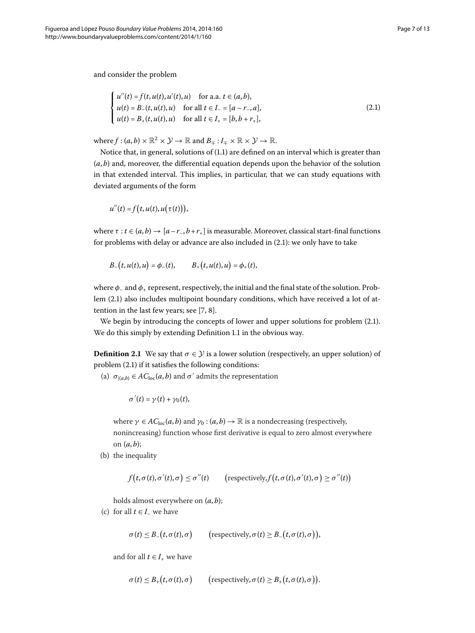and consider the problem

<span id="page-6-0"></span>
$$
\begin{cases}\n u''(t) = f(t, u(t), u'(t), u) & \text{for a.a. } t \in (a, b), \\
u(t) = B_-(t, u(t), u) & \text{for all } t \in I_- = [a - r_-, a], \\
u(t) = B_+(t, u(t), u) & \text{for all } t \in I_+ = [b, b + r_+],\n\end{cases}
$$
\n(2.1)

where  $f : (a, b) \times \mathbb{R}^2 \times \mathcal{Y} \to \mathbb{R}$  and  $B_{\pm} : I_{\pm} \times \mathbb{R} \times \mathcal{Y} \to \mathbb{R}$ .

Notice that, in general, solutions of (1.1) are defined on an interval which is greater than  $(a, b)$  and, moreover, the differential equation depends upon the behavior of the solution in that extended interval. This implies, in particular, that we can study equations with deviated arguments of the form

$$
u''(t) = f(t, u(t), u(\tau(t))),
$$

where  $\tau : t \in (a, b) \rightarrow [a-r_-, b+r_+]$  is measurable. Moreover, classical start-final functions for problems with delay or advance are also included in  $(2.1)$  $(2.1)$  $(2.1)$ : we only have to take

$$
B_{-}(t, u(t), u) = \phi_{-}(t), \qquad B_{+}(t, u(t), u) = \phi_{+}(t),
$$

where *φ*– and *φ*<sup>+</sup> represent, respectively, the initial and the final state of the solution. Problem  $(2.1)$  $(2.1)$  $(2.1)$  also includes multipoint boundary conditions, which have received a lot of attention in the last few years; see  $[7, 8]$ .

We begin by introducing the concepts of lower and upper solutions for problem  $(2.1)$ . We do this simply by extending Definition 1[.](#page-1-0)1 in the obvious way.

**Definition 2.1** We say that  $\sigma \in \mathcal{Y}$  is a lower solution (respectively, an upper solution) of problem  $(2.1)$  if it satisfies the following conditions:

(a)  $\sigma_{|(a,b)} \in AC_{loc}(a,b)$  and  $\sigma'$  admits the representation

$$
\sigma'(t)=\gamma(t)+\gamma_0(t),
$$

where  $\gamma \in AC_{\text{loc}}(a, b)$  and  $\gamma_0 : (a, b) \to \mathbb{R}$  is a nondecreasing (respectively, nonincreasing) function whose first derivative is equal to zero almost everywhere on  $(a, b)$ ;

(b) the inequality

$$
f(t, \sigma(t), \sigma'(t), \sigma) \leq \sigma''(t) \qquad \left(\text{respectively, } f(t, \sigma(t), \sigma'(t), \sigma) \geq \sigma''(t)\right)
$$

holds almost everywhere on (*a*, *b*);

(c) for all  $t \in I$ <sub>–</sub> we have

 $\sigma(t) \leq B_-(t, \sigma(t), \sigma)$  (respectively,  $\sigma(t) \geq B_-(t, \sigma(t), \sigma)$ ),

and for all  $t \in I_+$  we have

$$
\sigma(t) \leq B_+(t, \sigma(t), \sigma) \qquad \text{(respectively, } \sigma(t) \geq B_+(t, \sigma(t), \sigma)\text{)}.
$$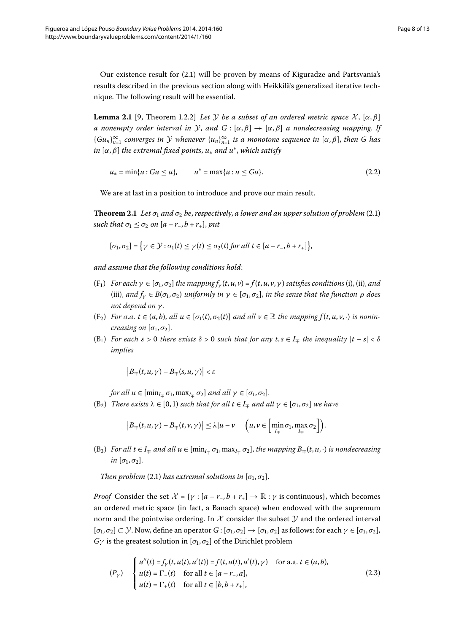<span id="page-7-0"></span>Our existence result for (2.1) will be proven by means of Kiguradze and Partsvania's results described in the previous section along with Heikkilä's generalized iterative technique. The following result will be essential.

<span id="page-7-2"></span>**Lemma 2.1** [\[](#page-12-9)9, Theorem 1.2.2] *Let* Y *be a subset of an ordered metric space* X,  $[\alpha, \beta]$ *a* nonempty order interval in Y, and  $G : [\alpha, \beta] \to [\alpha, \beta]$  *a* nondecreasing mapping. If  ${Gu_n}_{n=1}^\infty$  *converges in*  $\mathcal Y$  *whenever*  ${u_n}_{n=1}^\infty$  *is a monotone sequence in*  $[\alpha, \beta]$ , *then* G has *in* [*α*,*β*] *the extremal fixed points*, *u*<sup>∗</sup> *and u*∗, *which satisfy*

<span id="page-7-1"></span>
$$
u_* = \min\{u : Gu \le u\}, \qquad u^* = \max\{u : u \le Gu\}. \tag{2.2}
$$

We are at last in a position to introduce and prove our main result.

**Theorem 2[.](#page-6-0)1** Let  $\sigma_1$  and  $\sigma_2$  be, respectively, a lower and an upper solution of problem (2.1) *such that*  $\sigma_1 \leq \sigma_2$  *on*  $[a - r_-, b + r_+]$ , *put* 

$$
[\sigma_1, \sigma_2] = \{ \gamma \in \mathcal{Y} : \sigma_1(t) \leq \gamma(t) \leq \sigma_2(t) \text{ for all } t \in [a-r_-, b+r_+] \},\
$$

*and assume that the following conditions hold*:

- $(F_1)$  *For each*  $\gamma \in [\sigma_1, \sigma_2]$  *the mapping*  $f_\gamma(t, u, v) = f(t, u, v, \gamma)$  *satisfies conditions* (i), (ii), *and* (iii), and  $f_\gamma \in B(\sigma_1, \sigma_2)$  *uniformly in*  $\gamma \in [\sigma_1, \sigma_2]$ *, in the sense that the function*  $\rho$  *does not depend on γ* .
- $(F_2)$  For a.a.  $t \in (a, b)$ , all  $u \in [\sigma_1(t), \sigma_2(t)]$  and all  $v \in \mathbb{R}$  the mapping  $f(t, u, v, \cdot)$  is nonin*creasing on*  $[\sigma_1, \sigma_2]$ .
- (B<sub>1</sub>) For each  $\varepsilon > 0$  there exists  $\delta > 0$  such that for any  $t, s \in I_{\pm}$  the inequality  $|t s| < \delta$ *implies*

$$
\left|B_{\mp}(t,u,\gamma)-B_{\mp}(s,u,\gamma)\right|<\varepsilon
$$

*for all*  $u \in [\min_{I_{\pm}} \sigma_1, \max_{I_{\pm}} \sigma_2]$  *and all*  $\gamma \in [\sigma_1, \sigma_2]$ .

 $(B_2)$  *There exists*  $\lambda \in [0, 1)$  *such that for all*  $t \in I_{\pm}$  *and all*  $\gamma \in [\sigma_1, \sigma_2]$  *we have* 

$$
\left|B_{\mp}(t,u,\gamma)-B_{\mp}(t,\nu,\gamma)\right|\leq\lambda|u-\nu|\quad\left(u,\nu\in\left[\min_{I_{\mp}}\sigma_1,\max_{I_{\mp}}\sigma_2\right]\right).
$$

 $(B_3)$  *For all*  $t \in I_{\mp}$  *and all*  $u \in [\min_{I_{\mp}} \sigma_1, \max_{I_{\mp}} \sigma_2]$ , *the mapping*  $B_{\mp}(t, u, \cdot)$  *is nondecreasing*  $in$  [ $\sigma_1, \sigma_2$ ].

*Then problem* (2.1) *has extremal solutions in*  $[\sigma_1, \sigma_2]$ *.* 

*Proof* Consider the set  $\mathcal{X} = \{ \gamma : [a - r_-, b + r_+] \to \mathbb{R} : \gamma \text{ is continuous} \}$ , which becomes an ordered metric space (in fact, a Banach space) when endowed with the supremum norm and the pointwise ordering. In  $\mathcal X$  consider the subset  $\mathcal Y$  and the ordered interval  $[\sigma_1, \sigma_2] \subset \mathcal{Y}$ . Now, define an operator  $G : [\sigma_1, \sigma_2] \to [\sigma_1, \sigma_2]$  as follows: for each  $\gamma \in [\sigma_1, \sigma_2]$ , *G* $\gamma$  is the greatest solution in [ $\sigma$ <sub>1</sub>,  $\sigma$ <sub>2</sub>] of the Dirichlet problem

$$
(P_{\gamma}) \quad \begin{cases} u''(t) = f_{\gamma}(t, u(t), u'(t)) = f(t, u(t), u'(t), \gamma) & \text{for a.a. } t \in (a, b), \\ u(t) = \Gamma_{-}(t) & \text{for all } t \in [a - r_{-}, a], \\ u(t) = \Gamma_{+}(t) & \text{for all } t \in [b, b + r_{+}], \end{cases}
$$
\n(2.3)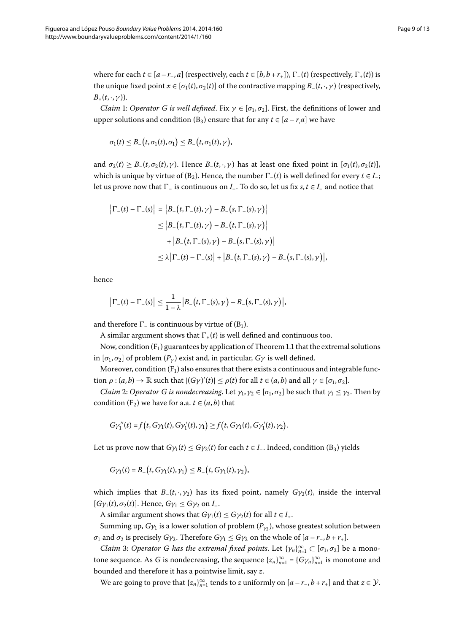where for each  $t \in [a-r_-, a]$  (respectively, each  $t \in [b, b+r_+]$ ),  $\Gamma_-(t)$  (respectively,  $\Gamma_+(t)$ ) is the unique fixed point  $x \in [\sigma_1(t), \sigma_2(t)]$  of the contractive mapping  $B_-(t, \cdot, \gamma)$  (respectively,  $B_+(t,\cdot,\gamma)$ ).

*Claim* 1: *Operator G is well defined*. Fix  $\gamma \in [\sigma_1, \sigma_2]$ . First, the definitions of lower and upper solutions and condition (B<sub>3</sub>) ensure that for any  $t \in [a - ra]$  we have

$$
\sigma_1(t) \leq B_-(t, \sigma_1(t), \sigma_1) \leq B_-(t, \sigma_1(t), \gamma),
$$

and  $\sigma_2(t) \geq B_-(t, \sigma_2(t), \gamma)$ . Hence  $B_-(t, \cdot, \gamma)$  has at least one fixed point in  $[\sigma_1(t), \sigma_2(t)]$ , which is unique by virtue of (B<sub>2</sub>). Hence, the number  $\Gamma_-(t)$  is well defined for every  $t \in I$ <sub>-</sub>; let us prove now that  $\Gamma$ <sub>–</sub> is continuous on *I*<sub>–</sub>. To do so, let us fix *s*,  $t \in I$ <sub>–</sub> and notice that

$$
\begin{aligned} \left| \Gamma_{-}(t) - \Gamma_{-}(s) \right| &= \left| B_{-}(t, \Gamma_{-}(t), \gamma) - B_{-}(s, \Gamma_{-}(s), \gamma) \right| \\ &\leq \left| B_{-}(t, \Gamma_{-}(t), \gamma) - B_{-}(t, \Gamma_{-}(s), \gamma) \right| \\ &\quad + \left| B_{-}(t, \Gamma_{-}(s), \gamma) - B_{-}(s, \Gamma_{-}(s), \gamma) \right| \\ &\leq \lambda \left| \Gamma_{-}(t) - \Gamma_{-}(s) \right| + \left| B_{-}(t, \Gamma_{-}(s), \gamma) - B_{-}(s, \Gamma_{-}(s), \gamma) \right|, \end{aligned}
$$

hence

$$
\big|\Gamma_-(t)-\Gamma_-(s)\big|\leq \frac{1}{1-\lambda}\big|B_-\big(t,\Gamma_-(s),\gamma\big)-B_-\big(s,\Gamma_-(s),\gamma\big)\big|,
$$

and therefore  $\Gamma_{-}$  is continuous by virtue of  $(B_1)$ .

A similar argument shows that  $\Gamma_+(t)$  is well defined and continuous too.

Now, condition  $(F_1)$  guarantees by application of Theorem 1[.](#page-2-0)1 that the extremal solutions in  $[\sigma_1, \sigma_2]$  of problem  $(P_\nu)$  exist and, in particular,  $G\gamma$  is well defined.

Moreover, condition  $(F_1)$  also ensures that there exists a continuous and integrable function  $\rho$  :  $(a,b) \to \mathbb{R}$  such that  $|(G\gamma)'(t)| \le \rho(t)$  for all  $t \in (a,b)$  and all  $\gamma \in [\sigma_1, \sigma_2]$ .

*Claim* 2: *Operator G is nondecreasing*. Let  $\gamma_1, \gamma_2 \in [\sigma_1, \sigma_2]$  be such that  $\gamma_1 \leq \gamma_2$ . Then by condition (F<sub>2</sub>) we have for a.a.  $t \in (a, b)$  that

$$
G\gamma_1''(t) = f(t, G\gamma_1(t), G\gamma_1'(t), \gamma_1) \ge f(t, G\gamma_1(t), G\gamma_1'(t), \gamma_2).
$$

Let us prove now that  $G\gamma_1(t) \leq G\gamma_2(t)$  for each  $t \in I$ <sub>-</sub>. Indeed, condition (B<sub>3</sub>) yields

$$
G\gamma_1(t)=B_-(t,G\gamma_1(t),\gamma_1)\leq B_-(t,G\gamma_1(t),\gamma_2),
$$

which implies that  $B_-(t, \cdot, \gamma_2)$  has its fixed point, namely  $G\gamma_2(t)$ , inside the interval  $[G\gamma_1(t), \sigma_2(t)]$ . Hence,  $G\gamma_1 \leq G\gamma_2$  on *I*-.

A similar argument shows that *G* $\gamma_1(t) \leq G\gamma_2(t)$  for all  $t \in I_+$ .

Summing up,  $G\gamma_1$  is a lower solution of problem  $(P_{\gamma_2})$ , whose greatest solution between *σ*<sub>1</sub> and *σ*<sub>2</sub> is precisely *Gγ*<sub>2</sub>. Therefore *Gγ*<sub>1</sub>  $\le$  *Gγ*<sub>2</sub> on the whole of  $[a - r_-, b + r_+]$ .

*Claim* 3: *Operator G has the extremal fixed points*. Let  $\{\gamma_n\}_{n=1}^{\infty} \subset [\sigma_1, \sigma_2]$  be a monotone sequence. As *G* is nondecreasing, the sequence  $\{z_n\}_{n=1}^{\infty} = \{G\gamma_n\}_{n=1}^{\infty}$  is monotone and bounded and therefore it has a pointwise limit, say *z*.

We are going to prove that  $\{z_n\}_{n=1}^{\infty}$  tends to *z* uniformly on  $[a-r_-, b+r_+]$  and that  $z \in \mathcal{Y}$ .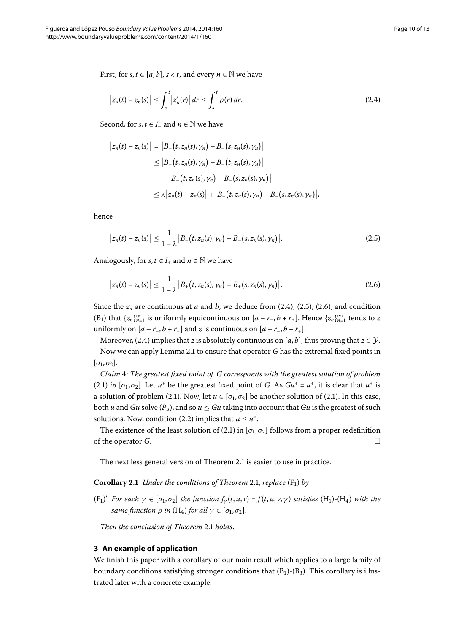First, for *s*,  $t \in [a, b]$ ,  $s < t$ , and every  $n \in \mathbb{N}$  we have

<span id="page-9-0"></span>
$$
\left|z_n(t) - z_n(s)\right| \le \int_s^t \left|z_n'(r)\right| dr \le \int_s^t \rho(r) dr.
$$
\n(2.4)

Second, for *s*,  $t \in I$  and  $n \in \mathbb{N}$  we have

<span id="page-9-1"></span>
$$
\begin{aligned} \left| z_n(t) - z_n(s) \right| &= \left| B_-(t, z_n(t), \gamma_n) - B_-(s, z_n(s), \gamma_n) \right| \\ &\le \left| B_-(t, z_n(t), \gamma_n) - B_-(t, z_n(s), \gamma_n) \right| \\ &\quad + \left| B_-(t, z_n(s), \gamma_n) - B_-(s, z_n(s), \gamma_n) \right| \\ &\le \lambda \left| z_n(t) - z_n(s) \right| + \left| B_-(t, z_n(s), \gamma_n) - B_-(s, z_n(s), \gamma_n) \right|, \end{aligned}
$$

hence

<span id="page-9-2"></span>
$$
\big| z_n(t) - z_n(s) \big| \leq \frac{1}{1 - \lambda} \big| B_{-}\big(t, z_n(s), \gamma_n\big) - B_{-}\big(s, z_n(s), \gamma_n\big) \big|.
$$
 (2.5)

Analogously, for *s*,  $t \in I_+$  and  $n \in \mathbb{N}$  we have

$$
\big| z_n(t) - z_n(s) \big| \leq \frac{1}{1 - \lambda} \big| B_+(t, z_n(s), \gamma_n) - B_+(s, z_n(s), \gamma_n) \big|.
$$
 (2.6)

Since the  $z_n$  are continuous at *a* and *b*, we deduce from (2[.](#page-9-0)4), (2.5), (2.6), and condition  $(B_1)$  that  $\{z_n\}_{n=1}^{\infty}$  is uniformly equicontinuous on  $[a-r_-,b+r_+]$ . Hence  $\{z_n\}_{n=1}^{\infty}$  tends to *z* uniformly on  $[a - r_-, b + r_+]$  and *z* is continuous on  $[a - r_-, b + r_+]$ .

Moreover, (2.4) implies that *z* is absolutely continuous on [ $a$ , $b$ ], thus proving that  $z \in \mathcal{Y}$ . Now we can apply Lemma 2[.](#page-7-0)1 to ensure that operator *G* has the extremal fixed points in  $[\sigma_1, \sigma_2]$ .

*Claim* : *The greatest fixed point of G corresponds with the greatest solution of problem* (2[.](#page-6-0)1) *in* [ $\sigma_1$ ,  $\sigma_2$ ]. Let  $u^*$  be the greatest fixed point of *G*. As  $Gu^* = u^*$ , it is clear that  $u^*$  is a solution of problem (2.1). Now, let  $u \in [\sigma_1, \sigma_2]$  be another solution of (2.1). In this case, both *u* and *Gu* solve  $(P_u)$ , and so  $u \leq Gu$  taking into account that *Gu* is the greatest of such solutions. Now, condition (2.2) implies that  $u \leq u^*$ .

The existence of the least solution of (2.1) in  $[\sigma_1, \sigma_2]$  follows from a proper redefinition of the operator *G*.  $\Box$ 

The next less general version of Theorem 2[.](#page-7-2)1 is easier to use in practice.

**Corollary 2.1** Under the conditions of Theorem 2.1, replace  $(F_1)$  by

 $(F_1)'$  *For each*  $\gamma \in [\sigma_1, \sigma_2]$  *the function*  $f_\gamma(t, u, v) = f(t, u, v, \gamma)$  *satisfies*  $(H_1)$ - $(H_4)$  *with the same function*  $\rho$  *in* (H<sub>4</sub>) *for all*  $\gamma \in [\sigma_1, \sigma_2]$ .

*Then the conclusion of Theorem 2[.](#page-7-2)1 holds.* 

#### **3 An example of application**

We finish this paper with a corollary of our main result which applies to a large family of boundary conditions satisfying stronger conditions that  $(B_1)$ - $(B_3)$ . This corollary is illustrated later with a concrete example.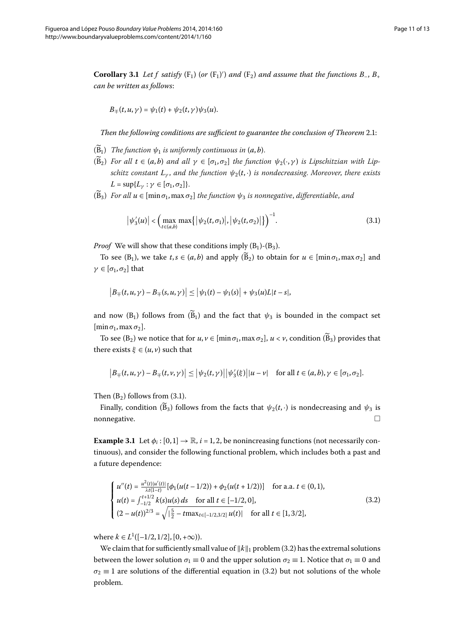<span id="page-10-2"></span>**Corollary 3.1** Let f satisfy  $(F_1)$  (or  $(F_1)'$ ) and  $(F_2)$  and assume that the functions  $B_-, B_+$ *can be written as follows*:

$$
B_{\mp}(t,u,\gamma)=\psi_1(t)+\psi_2(t,\gamma)\psi_3(u).
$$

*Then the following conditions are sufficient to guarantee the conclusion of Theorem 2.1:* 

- $(\widetilde{B}_1)$  *The function*  $\psi_1$  *is uniformly continuous in*  $(a, b)$ *.*
- $(\widetilde{B}_2)$  *For all*  $t \in (a, b)$  *and all*  $\gamma \in [\sigma_1, \sigma_2]$  *the function*  $\psi_2(\cdot, \gamma)$  *is Lipschitzian with Lipschitz constant*  $L_{\nu}$ , *and the function*  $\psi_2(t, \cdot)$  *is nondecreasing. Moreover, there exists*  $L = \sup\{L_{\gamma} : \gamma \in [\sigma_1, \sigma_2]\}.$
- $(\widetilde{B}_3)$  *For all*  $u \in [\min \sigma_1, \max \sigma_2]$  *the function*  $\psi_3$  *is nonnegative, differentiable, and*

<span id="page-10-0"></span>
$$
\left|\psi_3'(u)\right| < \left(\max_{t \in (a,b)} \max\left\{ \left|\psi_2(t,\sigma_1)\right|, \left|\psi_2(t,\sigma_2)\right|\right\} \right)^{-1}.\tag{3.1}
$$

*Proof* We will show that these conditions imply  $(B_1)$ - $(B_3)$ .

To see (B<sub>1</sub>), we take  $t, s \in (a, b)$  and apply  $(\widetilde{B}_2)$  to obtain for  $u \in [\min \sigma_1, \max \sigma_2]$  and *γ*  $\in$  [ $\sigma$ <sub>1</sub>,  $\sigma$ <sub>2</sub>] that

$$
\left|B_{\mp}(t,u,\gamma) - B_{\mp}(s,u,\gamma)\right| \leq \left|\psi_1(t) - \psi_1(s)\right| + \psi_3(u)L|t - s|,
$$

and now (B<sub>1</sub>) follows from  $(\widetilde{B}_1)$  and the fact that  $\psi_3$  is bounded in the compact set  $[\min \sigma_1, \max \sigma_2].$ 

To see (B<sub>2</sub>) we notice that for  $u, v \in [\min \sigma_1, \max \sigma_2], u < v$ , condition  $(\widetilde{B}_3)$  provides that there exists  $\xi \in (u, v)$  such that

<span id="page-10-1"></span>
$$
\left|B_{\mp}(t,u,\gamma)-B_{\mp}(t,\nu,\gamma)\right|\leq \left|\psi_2(t,\gamma)\right|\left|\psi_3'(\xi)\right|\left|u-\nu\right| \quad \text{for all } t\in (a,b), \gamma\in [\sigma_1,\sigma_2].
$$

Then  $(B_2)$  follows from  $(3.1)$ .

Finally, condition ( $\tilde{B}_3$ ) follows from the facts that  $\psi_2(t,\cdot)$  is nondecreasing and  $\psi_3$  is nonegative. nonnegative.

**Example 3.1** Let  $\phi_i$ :  $[0,1] \rightarrow \mathbb{R}$ ,  $i = 1,2$ , be nonincreasing functions (not necessarily continuous), and consider the following functional problem, which includes both a past and a future dependence:

$$
\begin{cases}\n u''(t) = \frac{u^2(t)|u'(t)|}{\lambda t(1-t)} [\phi_1(u(t-1/2)) + \phi_2(u(t+1/2))] & \text{for a.a. } t \in (0,1), \\
u(t) = \int_{-1/2}^{t+1/2} k(s)u(s) ds & \text{for all } t \in [-1/2,0], \\
(2 - u(t))^{2/3} = \sqrt{\frac{5}{2} - t \max_{t \in [-1/2,3/2]} u(t)} & \text{for all } t \in [1,3/2],\n\end{cases}
$$
\n(3.2)

where  $k \in L^1([-1/2, 1/2], [0, +\infty)).$ 

We claim that for sufficiently small value of  $||k||_1$  problem (3.2) has the extremal solutions between the lower solution  $\sigma_1 \equiv 0$  and the upper solution  $\sigma_2 \equiv 1$ . Notice that  $\sigma_1 \equiv 0$  and  $\sigma_2 \equiv 1$  are solutions of the differential equation in (3.2) but not solutions of the whole problem.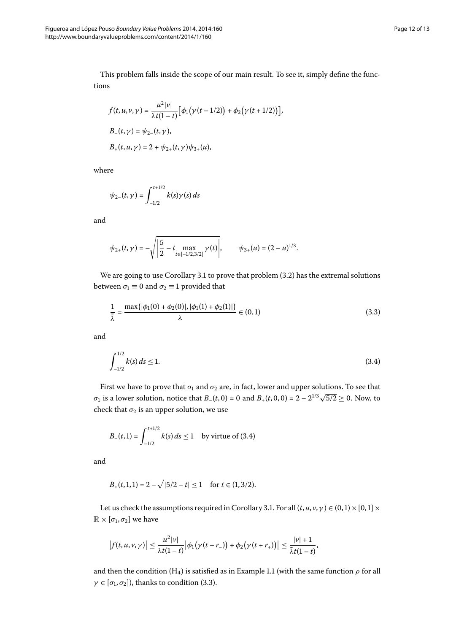This problem falls inside the scope of our main result. To see it, simply define the functions

$$
f(t, u, v, \gamma) = \frac{u^2 |v|}{\lambda t (1 - t)} [\phi_1(\gamma(t - 1/2)) + \phi_2(\gamma(t + 1/2))],
$$
  
\n
$$
B_{-}(t, \gamma) = \psi_{2-}(t, \gamma),
$$
  
\n
$$
B_{+}(t, u, \gamma) = 2 + \psi_{2+}(t, \gamma) \psi_{3+}(u),
$$

where

$$
\psi_{2-}(t,\gamma) = \int_{-1/2}^{t+1/2} k(s)\gamma(s) \, ds
$$

and

<span id="page-11-1"></span>
$$
\psi_{2+}(t,\gamma)=-\sqrt{\left|\frac{5}{2}-t\max_{t\in[-1/2,3/2]}\gamma(t)\right|},\qquad \psi_{3+}(u)=(2-u)^{1/3}.
$$

We are going to use Corollary 3[.](#page-10-2)1 to prove that problem  $(3.2)$  has the extremal solutions between  $\sigma_1 \equiv 0$  and  $\sigma_2 \equiv 1$  provided that

<span id="page-11-0"></span>
$$
\frac{1}{\tilde{\lambda}} = \frac{\max\{|\phi_1(0) + \phi_2(0)|, |\phi_1(1) + \phi_2(1)|\}}{\lambda} \in (0, 1)
$$
\n(3.3)

and

$$
\int_{-1/2}^{1/2} k(s) ds \le 1. \tag{3.4}
$$

First we have to prove that  $\sigma_1$  and  $\sigma_2$  are, in fact, lower and upper solutions. To see that *σ*<sub>1</sub> is a lower solution, notice that *B*<sub>–</sub>(*t*, 0) = 0 and *B*<sub>+</sub>(*t*, 0, 0) =  $2 - 2^{1/3}\sqrt{5/2} \ge 0$ . Now, to check that  $\sigma_2$  is an upper solution, we use

$$
B_{-}(t,1) = \int_{-1/2}^{t+1/2} k(s) \, ds \le 1 \quad \text{by virtue of (3.4)}
$$

and

$$
B_+(t,1,1) = 2 - \sqrt{|5/2 - t|} \le 1 \quad \text{for } t \in (1,3/2).
$$

Let us check the assumptions required in Corollary 3[.](#page-10-2)1. For all  $(t, u, v, \gamma) \in (0, 1] \times [0, 1] \times$  $\mathbb{R} \times [\sigma_1, \sigma_2]$  we have

$$
\left|f(t,u,v,\gamma)\right|\leq \frac{u^2|v|}{\lambda t(1-t)}\left|\phi_1\big(\gamma(t-r_-)\big)+\phi_2\big(\gamma(t+r_+)\big)\right|\leq \frac{|v|+1}{\tilde{\lambda}t(1-t)},
$$

and then the condition (H<sub>4</sub>) is satisfied as in Example 1[.](#page-4-0)1 (with the same function  $\rho$  for all  $\gamma \in [\sigma_1, \sigma_2]$ ), thanks to condition (3.3).